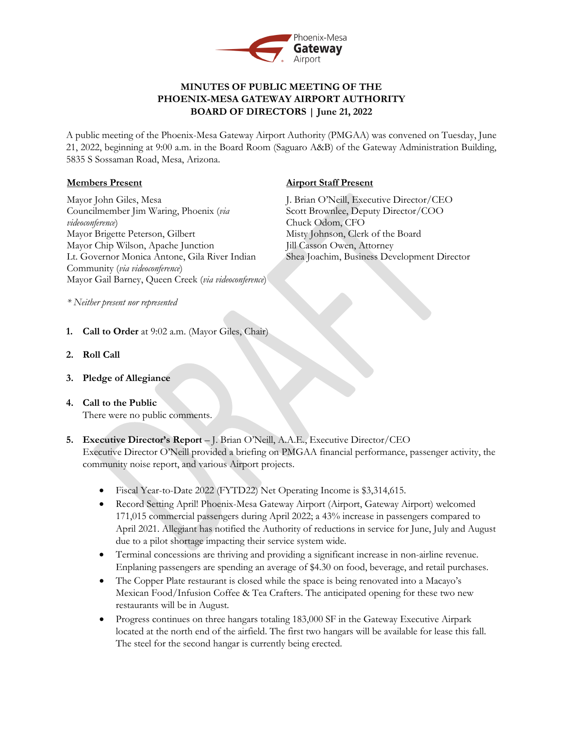

# **MINUTES OF PUBLIC MEETING OF THE PHOENIX-MESA GATEWAY AIRPORT AUTHORITY BOARD OF DIRECTORS | June 21, 2022**

A public meeting of the Phoenix-Mesa Gateway Airport Authority (PMGAA) was convened on Tuesday, June 21, 2022, beginning at 9:00 a.m. in the Board Room (Saguaro A&B) of the Gateway Administration Building, 5835 S Sossaman Road, Mesa, Arizona.

## **Members Present**

Mayor John Giles, Mesa Councilmember Jim Waring, Phoenix (*via videoconference*) Mayor Brigette Peterson, Gilbert Mayor Chip Wilson, Apache Junction Lt. Governor Monica Antone, Gila River Indian Community (*via videoconference*) Mayor Gail Barney, Queen Creek (*via videoconference*)

# **Airport Staff Present**

J. Brian O'Neill, Executive Director/CEO Scott Brownlee, Deputy Director/COO Chuck Odom, CFO Misty Johnson, Clerk of the Board Jill Casson Owen, Attorney Shea Joachim, Business Development Director

*\* Neither present nor represented*

- **1. Call to Order** at 9:02 a.m. (Mayor Giles, Chair)
- **2. Roll Call**
- **3. Pledge of Allegiance**
- **4. Call to the Public** There were no public comments.
- **5. Executive Director's Report** J. Brian O'Neill, A.A.E., Executive Director/CEO

Executive Director O'Neill provided a briefing on PMGAA financial performance, passenger activity, the community noise report, and various Airport projects.

- Fiscal Year-to-Date 2022 (FYTD22) Net Operating Income is \$3,314,615.
- Record Setting April! Phoenix-Mesa Gateway Airport (Airport, Gateway Airport) welcomed 171,015 commercial passengers during April 2022; a 43% increase in passengers compared to April 2021. Allegiant has notified the Authority of reductions in service for June, July and August due to a pilot shortage impacting their service system wide.
- Terminal concessions are thriving and providing a significant increase in non-airline revenue. Enplaning passengers are spending an average of \$4.30 on food, beverage, and retail purchases.
- The Copper Plate restaurant is closed while the space is being renovated into a Macayo's Mexican Food/Infusion Coffee & Tea Crafters. The anticipated opening for these two new restaurants will be in August.
- Progress continues on three hangars totaling 183,000 SF in the Gateway Executive Airpark located at the north end of the airfield. The first two hangars will be available for lease this fall. The steel for the second hangar is currently being erected.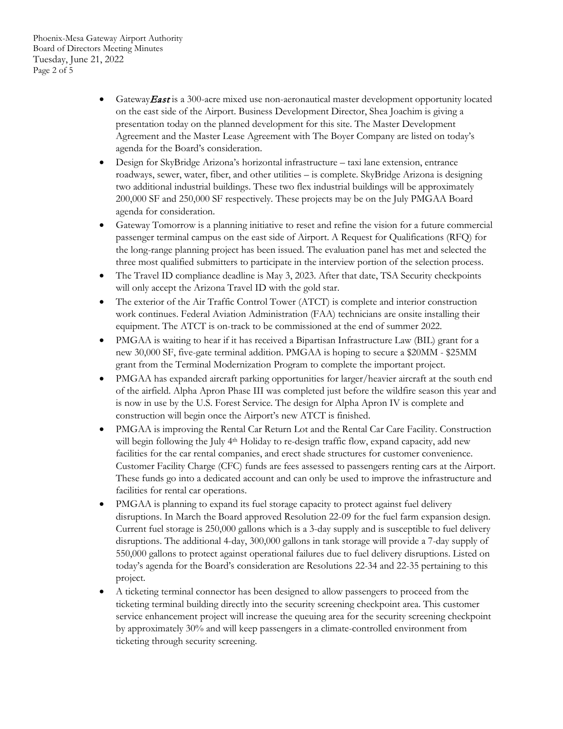- Gateway East is a 300-acre mixed use non-aeronautical master development opportunity located on the east side of the Airport. Business Development Director, Shea Joachim is giving a presentation today on the planned development for this site. The Master Development Agreement and the Master Lease Agreement with The Boyer Company are listed on today's agenda for the Board's consideration.
- Design for SkyBridge Arizona's horizontal infrastructure taxi lane extension, entrance roadways, sewer, water, fiber, and other utilities – is complete. SkyBridge Arizona is designing two additional industrial buildings. These two flex industrial buildings will be approximately 200,000 SF and 250,000 SF respectively. These projects may be on the July PMGAA Board agenda for consideration.
- Gateway Tomorrow is a planning initiative to reset and refine the vision for a future commercial passenger terminal campus on the east side of Airport. A Request for Qualifications (RFQ) for the long-range planning project has been issued. The evaluation panel has met and selected the three most qualified submitters to participate in the interview portion of the selection process.
- The Travel ID compliance deadline is May 3, 2023. After that date, TSA Security checkpoints will only accept the Arizona Travel ID with the gold star.
- The exterior of the Air Traffic Control Tower (ATCT) is complete and interior construction work continues. Federal Aviation Administration (FAA) technicians are onsite installing their equipment. The ATCT is on-track to be commissioned at the end of summer 2022.
- PMGAA is waiting to hear if it has received a Bipartisan Infrastructure Law (BIL) grant for a new 30,000 SF, five-gate terminal addition. PMGAA is hoping to secure a \$20MM - \$25MM grant from the Terminal Modernization Program to complete the important project.
- PMGAA has expanded aircraft parking opportunities for larger/heavier aircraft at the south end of the airfield. Alpha Apron Phase III was completed just before the wildfire season this year and is now in use by the U.S. Forest Service. The design for Alpha Apron IV is complete and construction will begin once the Airport's new ATCT is finished.
- PMGAA is improving the Rental Car Return Lot and the Rental Car Care Facility. Construction will begin following the July 4<sup>th</sup> Holiday to re-design traffic flow, expand capacity, add new facilities for the car rental companies, and erect shade structures for customer convenience. Customer Facility Charge (CFC) funds are fees assessed to passengers renting cars at the Airport. These funds go into a dedicated account and can only be used to improve the infrastructure and facilities for rental car operations.
- PMGAA is planning to expand its fuel storage capacity to protect against fuel delivery disruptions. In March the Board approved Resolution 22-09 for the fuel farm expansion design. Current fuel storage is 250,000 gallons which is a 3-day supply and is susceptible to fuel delivery disruptions. The additional 4-day, 300,000 gallons in tank storage will provide a 7-day supply of 550,000 gallons to protect against operational failures due to fuel delivery disruptions. Listed on today's agenda for the Board's consideration are Resolutions 22-34 and 22-35 pertaining to this project.
- A ticketing terminal connector has been designed to allow passengers to proceed from the ticketing terminal building directly into the security screening checkpoint area. This customer service enhancement project will increase the queuing area for the security screening checkpoint by approximately 30% and will keep passengers in a climate-controlled environment from ticketing through security screening.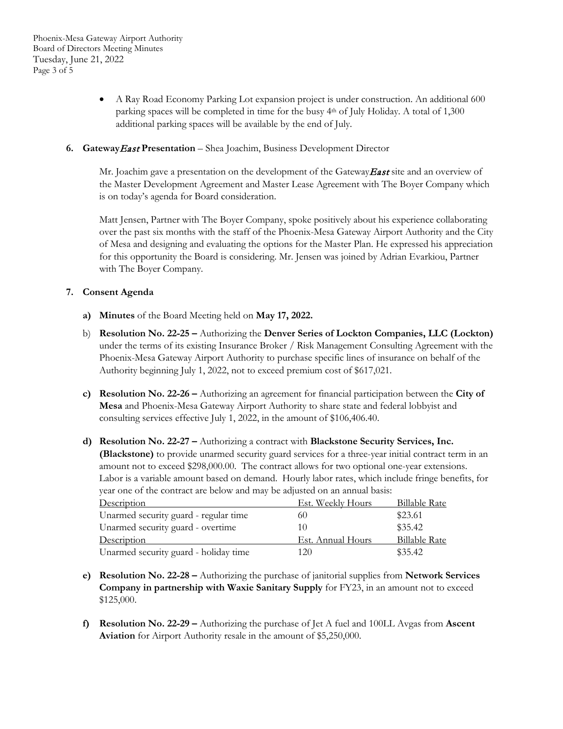- A Ray Road Economy Parking Lot expansion project is under construction. An additional 600 parking spaces will be completed in time for the busy 4th of July Holiday. A total of 1,300 additional parking spaces will be available by the end of July.
- **6. Gateway**East **Presentation** Shea Joachim, Business Development Director

Mr. Joachim gave a presentation on the development of the Gateway **East** site and an overview of the Master Development Agreement and Master Lease Agreement with The Boyer Company which is on today's agenda for Board consideration.

Matt Jensen, Partner with The Boyer Company, spoke positively about his experience collaborating over the past six months with the staff of the Phoenix-Mesa Gateway Airport Authority and the City of Mesa and designing and evaluating the options for the Master Plan. He expressed his appreciation for this opportunity the Board is considering. Mr. Jensen was joined by Adrian Evarkiou, Partner with The Boyer Company.

## **7. Consent Agenda**

- **a) Minutes** of the Board Meeting held on **May 17, 2022.**
- b) **Resolution No. 22-25 –** Authorizing the **Denver Series of Lockton Companies, LLC (Lockton)**  under the terms of its existing Insurance Broker / Risk Management Consulting Agreement with the Phoenix-Mesa Gateway Airport Authority to purchase specific lines of insurance on behalf of the Authority beginning July 1, 2022, not to exceed premium cost of \$617,021.
- **c) Resolution No. 22-26 –** Authorizing an agreement for financial participation between the **City of Mesa** and Phoenix-Mesa Gateway Airport Authority to share state and federal lobbyist and consulting services effective July 1, 2022, in the amount of \$106,406.40.
- **d) Resolution No. 22-27 –** Authorizing a contract with **Blackstone Security Services, Inc. (Blackstone)** to provide unarmed security guard services for a three-year initial contract term in an amount not to exceed \$298,000.00. The contract allows for two optional one-year extensions. Labor is a variable amount based on demand. Hourly labor rates, which include fringe benefits, for year one of the contract are below and may be adjusted on an annual basis:

| Description                           | Est. Weekly Hours | <b>Billable Rate</b> |
|---------------------------------------|-------------------|----------------------|
| Unarmed security guard - regular time | 60                | \$23.61              |
| Unarmed security guard - overtime     | I ( )             | \$35.42              |
| Description                           | Est. Annual Hours | <b>Billable Rate</b> |
| Unarmed security guard - holiday time | 120               | \$35.42              |

- **e) Resolution No. 22-28 –** Authorizing the purchase of janitorial supplies from **Network Services Company in partnership with Waxie Sanitary Supply** for FY23, in an amount not to exceed \$125,000.
- **f) Resolution No. 22-29 –** Authorizing the purchase of Jet A fuel and 100LL Avgas from **Ascent Aviation** for Airport Authority resale in the amount of \$5,250,000.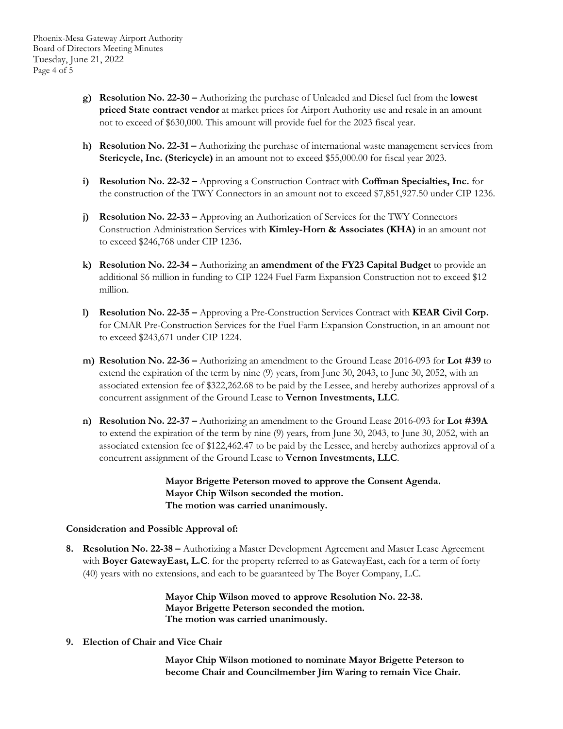- **g) Resolution No. 22-30 –** Authorizing the purchase of Unleaded and Diesel fuel from the **lowest priced State contract vendor** at market prices for Airport Authority use and resale in an amount not to exceed of \$630,000. This amount will provide fuel for the 2023 fiscal year.
- **h) Resolution No. 22-31 –** Authorizing the purchase of international waste management services from **Stericycle, Inc. (Stericycle)** in an amount not to exceed \$55,000.00 for fiscal year 2023.
- **i) Resolution No. 22-32 –** Approving a Construction Contract with **Coffman Specialties, Inc.** for the construction of the TWY Connectors in an amount not to exceed \$7,851,927.50 under CIP 1236.
- **j) Resolution No. 22-33 –** Approving an Authorization of Services for the TWY Connectors Construction Administration Services with **Kimley-Horn & Associates (KHA)** in an amount not to exceed \$246,768 under CIP 1236**.**
- **k) Resolution No. 22-34 –** Authorizing an **amendment of the FY23 Capital Budget** to provide an additional \$6 million in funding to CIP 1224 Fuel Farm Expansion Construction not to exceed \$12 million.
- **l) Resolution No. 22-35 –** Approving a Pre-Construction Services Contract with **KEAR Civil Corp.** for CMAR Pre-Construction Services for the Fuel Farm Expansion Construction, in an amount not to exceed \$243,671 under CIP 1224.
- **m) Resolution No. 22-36 –** Authorizing an amendment to the Ground Lease 2016-093 for **Lot #39** to extend the expiration of the term by nine (9) years, from June 30, 2043, to June 30, 2052, with an associated extension fee of \$322,262.68 to be paid by the Lessee, and hereby authorizes approval of a concurrent assignment of the Ground Lease to **Vernon Investments, LLC**.
- **n) Resolution No. 22-37 –** Authorizing an amendment to the Ground Lease 2016-093 for **Lot #39A** to extend the expiration of the term by nine (9) years, from June 30, 2043, to June 30, 2052, with an associated extension fee of \$122,462.47 to be paid by the Lessee, and hereby authorizes approval of a concurrent assignment of the Ground Lease to **Vernon Investments, LLC**.

**Mayor Brigette Peterson moved to approve the Consent Agenda. Mayor Chip Wilson seconded the motion. The motion was carried unanimously.**

### **Consideration and Possible Approval of:**

**8. Resolution No. 22-38 –** Authorizing a Master Development Agreement and Master Lease Agreement with **Boyer GatewayEast, L.C**. for the property referred to as GatewayEast, each for a term of forty (40) years with no extensions, and each to be guaranteed by The Boyer Company, L.C.

> **Mayor Chip Wilson moved to approve Resolution No. 22-38. Mayor Brigette Peterson seconded the motion. The motion was carried unanimously.**

**9. Election of Chair and Vice Chair**

**Mayor Chip Wilson motioned to nominate Mayor Brigette Peterson to become Chair and Councilmember Jim Waring to remain Vice Chair.**